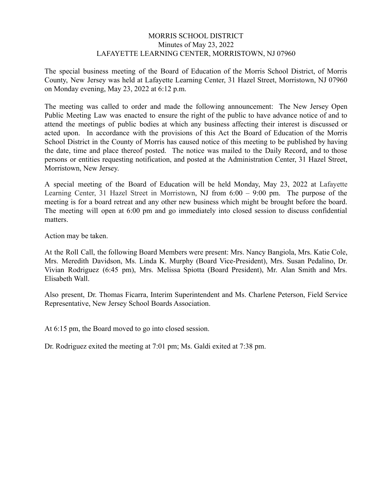### MORRIS SCHOOL DISTRICT Minutes of May 23, 2022 LAFAYETTE LEARNING CENTER, MORRISTOWN, NJ 07960

The special business meeting of the Board of Education of the Morris School District, of Morris County, New Jersey was held at Lafayette Learning Center, 31 Hazel Street, Morristown, NJ 07960 on Monday evening, May 23, 2022 at 6:12 p.m.

The meeting was called to order and made the following announcement: The New Jersey Open Public Meeting Law was enacted to ensure the right of the public to have advance notice of and to attend the meetings of public bodies at which any business affecting their interest is discussed or acted upon. In accordance with the provisions of this Act the Board of Education of the Morris School District in the County of Morris has caused notice of this meeting to be published by having the date, time and place thereof posted. The notice was mailed to the Daily Record, and to those persons or entities requesting notification, and posted at the Administration Center, 31 Hazel Street, Morristown, New Jersey.

A special meeting of the Board of Education will be held Monday, May 23, 2022 at Lafayette Learning Center, 31 Hazel Street in Morristown, NJ from 6:00 – 9:00 pm. The purpose of the meeting is for a board retreat and any other new business which might be brought before the board. The meeting will open at 6:00 pm and go immediately into closed session to discuss confidential matters.

Action may be taken.

At the Roll Call, the following Board Members were present: Mrs. Nancy Bangiola, Mrs. Katie Cole, Mrs. Meredith Davidson, Ms. Linda K. Murphy (Board Vice-President), Mrs. Susan Pedalino, Dr. Vivian Rodriguez (6:45 pm), Mrs. Melissa Spiotta (Board President), Mr. Alan Smith and Mrs. Elisabeth Wall.

Also present, Dr. Thomas Ficarra, Interim Superintendent and Ms. Charlene Peterson, Field Service Representative, New Jersey School Boards Association.

At 6:15 pm, the Board moved to go into closed session.

Dr. Rodriguez exited the meeting at 7:01 pm; Ms. Galdi exited at 7:38 pm.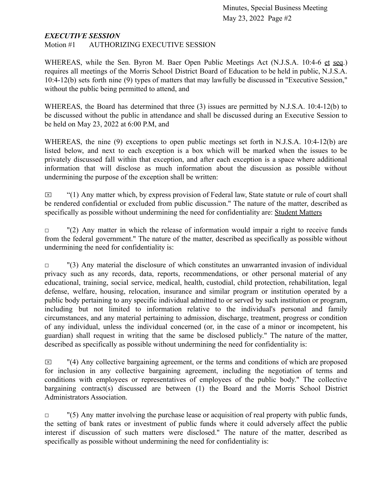### *EXECUTIVE SESSION*

Motion #1 AUTHORIZING EXECUTIVE SESSION

WHEREAS, while the Sen. Byron M. Baer Open Public Meetings Act (N.J.S.A. 10:4-6 et seq.) requires all meetings of the Morris School District Board of Education to be held in public, N.J.S.A. 10:4-12(b) sets forth nine (9) types of matters that may lawfully be discussed in "Executive Session," without the public being permitted to attend, and

WHEREAS, the Board has determined that three (3) issues are permitted by N.J.S.A. 10:4-12(b) to be discussed without the public in attendance and shall be discussed during an Executive Session to be held on May 23, 2022 at 6:00 P.M, and

WHEREAS, the nine (9) exceptions to open public meetings set forth in N.J.S.A. 10:4-12(b) are listed below, and next to each exception is a box which will be marked when the issues to be privately discussed fall within that exception, and after each exception is a space where additional information that will disclose as much information about the discussion as possible without undermining the purpose of the exception shall be written:

 $\boxtimes$  "(1) Any matter which, by express provision of Federal law, State statute or rule of court shall be rendered confidential or excluded from public discussion." The nature of the matter, described as specifically as possible without undermining the need for confidentiality are: Student Matters

 $\Box$  "(2) Any matter in which the release of information would impair a right to receive funds from the federal government." The nature of the matter, described as specifically as possible without undermining the need for confidentiality is:

 $\Box$  "(3) Any material the disclosure of which constitutes an unwarranted invasion of individual privacy such as any records, data, reports, recommendations, or other personal material of any educational, training, social service, medical, health, custodial, child protection, rehabilitation, legal defense, welfare, housing, relocation, insurance and similar program or institution operated by a public body pertaining to any specific individual admitted to or served by such institution or program, including but not limited to information relative to the individual's personal and family circumstances, and any material pertaining to admission, discharge, treatment, progress or condition of any individual, unless the individual concerned (or, in the case of a minor or incompetent, his guardian) shall request in writing that the same be disclosed publicly." The nature of the matter, described as specifically as possible without undermining the need for confidentiality is:

 $\boxtimes$  "(4) Any collective bargaining agreement, or the terms and conditions of which are proposed for inclusion in any collective bargaining agreement, including the negotiation of terms and conditions with employees or representatives of employees of the public body." The collective bargaining contract(s) discussed are between (1) the Board and the Morris School District Administrators Association.

 $\Box$  "(5) Any matter involving the purchase lease or acquisition of real property with public funds, the setting of bank rates or investment of public funds where it could adversely affect the public interest if discussion of such matters were disclosed." The nature of the matter, described as specifically as possible without undermining the need for confidentiality is: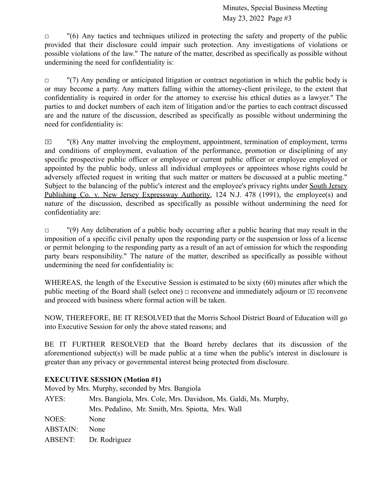$\Box$  "(6) Any tactics and techniques utilized in protecting the safety and property of the public provided that their disclosure could impair such protection. Any investigations of violations or possible violations of the law." The nature of the matter, described as specifically as possible without undermining the need for confidentiality is:

 $\Box$  "(7) Any pending or anticipated litigation or contract negotiation in which the public body is or may become a party. Any matters falling within the attorney-client privilege, to the extent that confidentiality is required in order for the attorney to exercise his ethical duties as a lawyer." The parties to and docket numbers of each item of litigation and/or the parties to each contract discussed are and the nature of the discussion, described as specifically as possible without undermining the need for confidentiality is:

 $\boxtimes$  "(8) Any matter involving the employment, appointment, termination of employment, terms and conditions of employment, evaluation of the performance, promotion or disciplining of any specific prospective public officer or employee or current public officer or employee employed or appointed by the public body, unless all individual employees or appointees whose rights could be adversely affected request in writing that such matter or matters be discussed at a public meeting." Subject to the balancing of the public's interest and the employee's privacy rights under South Jersey Publishing Co. v. New Jersey Expressway Authority, 124 N.J. 478 (1991), the employee(s) and nature of the discussion, described as specifically as possible without undermining the need for confidentiality are:

 $\Box$  "(9) Any deliberation of a public body occurring after a public hearing that may result in the imposition of a specific civil penalty upon the responding party or the suspension or loss of a license or permit belonging to the responding party as a result of an act of omission for which the responding party bears responsibility." The nature of the matter, described as specifically as possible without undermining the need for confidentiality is:

WHEREAS, the length of the Executive Session is estimated to be sixty (60) minutes after which the public meeting of the Board shall (select one)  $\Box$  reconvene and immediately adjourn or  $\Box$  reconvene and proceed with business where formal action will be taken.

NOW, THEREFORE, BE IT RESOLVED that the Morris School District Board of Education will go into Executive Session for only the above stated reasons; and

BE IT FURTHER RESOLVED that the Board hereby declares that its discussion of the aforementioned subject(s) will be made public at a time when the public's interest in disclosure is greater than any privacy or governmental interest being protected from disclosure.

# **EXECUTIVE SESSION (Motion #1)**

Moved by Mrs. Murphy, seconded by Mrs. Bangiola

| Mrs. Bangiola, Mrs. Cole, Mrs. Davidson, Ms. Galdi, Ms. Murphy, |
|-----------------------------------------------------------------|
| Mrs. Pedalino, Mr. Smith, Mrs. Spiotta, Mrs. Wall               |
| None                                                            |
| <b>None</b>                                                     |
| ABSENT: Dr. Rodriguez                                           |
|                                                                 |